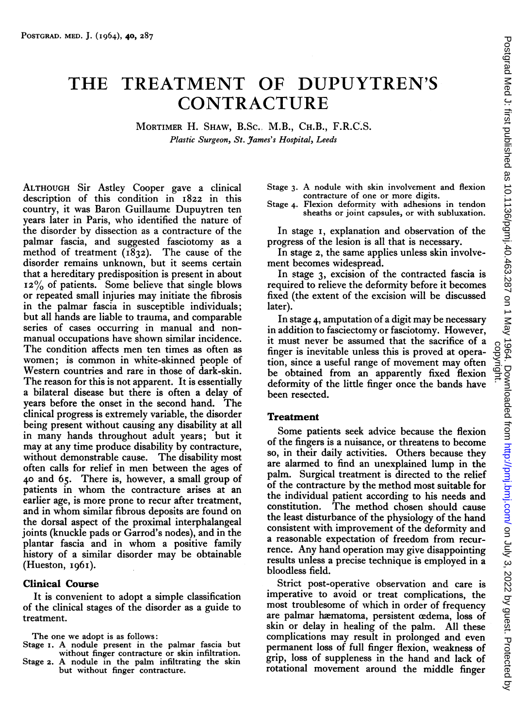# THE TREATMENT OF DUPUYTREN'S **CONTRACTURE**

MORTIMER H. SHAW, B.Sc., M.B., CH.B., F.R.C.S. Plastic Surgeon, St. James's Hospital, Leeds

ALTHOUGH Sir Astley Cooper gave <sup>a</sup> clinical description of this condition in I822 in this country, it was Baron Guillaume Dupuytren ten years later in Paris, who identified the nature of the disorder by dissection as <sup>a</sup> contracture of the palmar fascia, and suggested fasciotomy as <sup>a</sup> method of treatment (1832). The cause of the disorder remains unknown, but it seems certain that a hereditary predisposition is present in about  $12\%$  of patients. Some believe that single blows or repeated small injuries may initiate the fibrosis in the palmar fascia in susceptible individuals; but all hands are liable to trauma, and comparable series of cases occurring in manual and nonmanual occupations have shown similar incidence. The condition affects men ten times as often as women; is common in white-skinned people of Western countries and rare in those of dark-skin. The reason for this is not apparent. It is essentially a bilateral disease but there is often a delay of years before the onset in the second hand. The clinical progress is extremely variable, the disorder being present without causing any disability at all in many hands throughout adult years; but it may at any time produce disability by contracture, without demonstrable cause. The disability most often calls for relief in men between the ages of 40 and 65. There is, however, <sup>a</sup> small group of patients in whom the contracture arises at an earlier age, is more prone to recur after treatment, and in whom similar fibrous deposits are found on the dorsal aspect of the proximal interphalangeal joints (knuckle pads or Garrod's nodes), and in the plantar fascia and in whom <sup>a</sup> positive family history of <sup>a</sup> similar disorder may be obtainable  $(Hueston, 1961).$ 

### Clinical Course

It is convenient to adopt a simple classification of the clinical stages of the disorder as a guide to treatment.

The one we adopt is as follows:

- Stage i. A nodule present in the palmar fascia but without finger contracture or skin infiltration.
- Stage 2. A nodule in the palm infiltrating the skin but without finger contracture.

Stage 3. A nodule with skin involvement and flexion contracture of one or more digits.

Stage 4. Flexion deformity with adhesions in tendon sheaths or joint capsules, or with subluxation.

In stage i, explanation and observation of the progress of the lesion is all that is necessary.

In stage 2, the same applies unless skin involvement becomes widespread.

In stage 3, excision of the contracted fascia is required to relieve the deformity before it becomes fixed (the extent of the excision will be discussed later).

In stage 4, amputation of <sup>a</sup> digit may be necessary in addition to fasciectomy or fasciotomy. However, it must never be assumed that the sacrifice of a finger is inevitable unless this is proved at opera tion, since <sup>a</sup> useful range of movement may often be obtained from an apparently fixed flexion deformity of the little finger once the bands have been resected.

#### Treatment

Some patients seek advice because the flexion of the fingers is a nuisance, or threatens to become so, in their daily activities. Others because they are alarmed to find an unexplained lump in the palm. Surgical treatment is directed to the relief of the contracture by the method most suitable for the individual patient according to his needs and<br>constitution. The method chosen should cause The method chosen should cause the least disturbance of the physiology of the hand consistent with improvement of the deformity and <sup>a</sup> reasonable expectation of freedom from recurrence. Any hand operation may give disappointing results unless <sup>a</sup> precise technique is employed in <sup>a</sup> bloodless field.

Strict post-operative observation and care is imperative to avoid or treat complications, the most troublesome of which in order of frequency are palmar hæmatoma, persistent œdema, loss of skin or delay in healing of the palm. All these complications may result in prolonged and even permanent loss of full finger flexion, weakness of grip, loss of suppleness in the hand and lack of rotational movement around the middle finger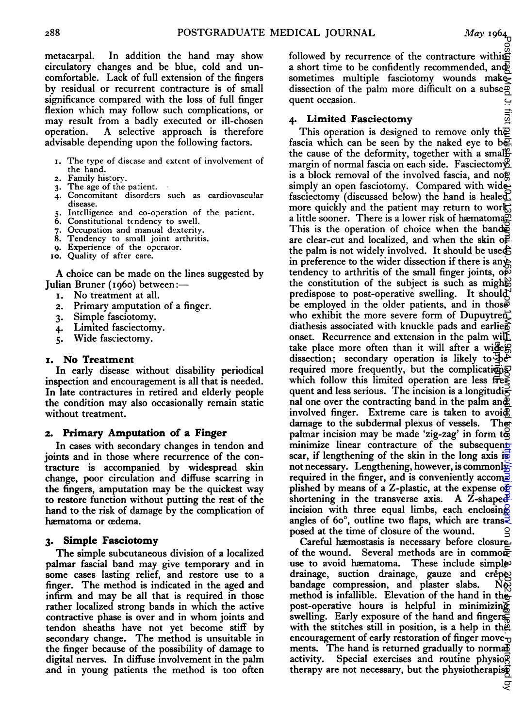metacarpal. In addition the hand may show circulatory changes and be blue, cold and uncomfortable. Lack of full extension of the fingers by residual or recurrent contracture is of small significance compared with the loss of full finger flexion which may follow such complications, or may result from a badly executed or ill-chosen<br>operation. A selective approach is therefore A selective approach is therefore advisable depending upon the following factors.

- I. The type of disease and extent of involvement of the hand.
- 2. Family history.<br>3. The age of the
- The age of the patient.
- 4. Concomitant disorders such as cardiovascular disease.
- Intelligence and co-operation of the patient.
- 6. Constitutional tendencv to swell.
- 7. Occupation and manual dexterity.
- 8. Tendency to small joint arthritis.
- 9. Experience of the operator.
- io. Quality of after care.

A choice can be made on the lines suggested by Julian Bruner (I960) between:-

- No treatment at all.
- 2. Primary amputation of a finger.<br>3. Simple fasciotomy.
- Simple fasciotomy.
- 4. Limited fasciectomy.
- 5. Wide fasciectomy.

#### x. No Treatment

In early disease without disability periodical inspection and encouragement is all that is needed. In late contractures in retired and elderly people the condition may also occasionally remain static without treatment.

#### 2. Primary Amputation of a Finger

In cases with secondary changes in tendon and joints and in those where recurrence of the contracture is accompanied by widespread skin change, poor circulation and diffuse scarring in the fingers, amputation may be the quickest way to restore function without putting the rest of the hand to the risk of damage by the complication of hæmatoma or œdema.

#### 3. Simple Fasciotomy

The simple subcutaneous division of <sup>a</sup> localized palmar fascial band may give temporary and in some cases lasting relief, and restore use to <sup>a</sup> finger. The method is indicated in the aged and infirm and may be all that is required in those rather localized strong bands in which the active contractive phase is over and in whom joints and tendon sheaths have not yet become stiff by secondary change. The method is unsuitable in the finger because of the possibility of damage to digital nerves. In diffuse involvement in the palm and in young patients the method is too often followed by recurrence of the contracture within <sup>a</sup> short time to be confidently recommended, and sometimes multiple fasciotomy wounds make dissection of the palm more difficult on a subse $\overline{p}$ quent occasion.

#### 4. Limited Fasciectomy

This operation is designed to remove only the fascia which can be seen by the naked eye to be the cause of the deformity, together with a small margin of normal fascia on each side. Fasciectom  $E$ is a block removal of the involved fascia, and  $\log$ simply an open fasciotomy. Compared with wide fasciectomy (discussed below) the hand is healed more quickly and the patient may return to work. a little sooner. There is a lower risk of hæmatoma. This is the operation of choice when the bands are clear-cut and localized, and when the skin  $\Phi$ . the palm is not widely involved. It should be used in preference to the wider dissection if there is anytendency to arthritis of the small finger joints, op the constitution of the subject is such as mights predispose to post-operative swelling. It should be employed in the older patients, and in those who exhibit the more severe form of Dupuytren diathesis associated with knuckle pads and earliers onset. Recurrence and extension in the palm will take place more often than it will after a wider dissection; secondary operation is likely to  $\Phi$  required more frequently, but the complications which follow this limited operation are less fre $\leq$ quent and less serious. The incision is a longitudinal one over the contracting band in the palm and involved finger. Extreme care is taken to avoi $\overline{\mathcal{R}}$  damage to the subdermal plexus of vessels. The damage to the subdermal plexus of vessels. palmar incision may be made 'zig-zag' in form to minimize linear contracture of the subsequent scar, if lengthening of the skin in the long axis is not necessary. Lengthening, however, is commonly required in the finger, and is conveniently accomplished by means of a Z-plastic, at the expense of shortening in the transverse axis. A  $\overline{Z}$ -shaped<sup>2</sup> incision with three equal limbs, each enclosing angles of 60 $^{\circ}$ , outline two flaps, which are transposed at the time of closure of the wound. copyright.On Automobile 1, 2022 by guest. Protected by the Automobile as 10.1287 by guest. Protected by the Me<br>Automobile 1, first published as 10.126.287 on 1 May 1964. Downloaded from 1 May 1964. Downloaded from 1 May 1

Careful hæmostasis is necessary before closure of the wound. Several methods are in commonuse to avoid hæmatoma. These include simples drainage, suction drainage, gauze and crêpes<br>bandage compression, and plaster slabs. Nos bandage compression, and plaster slabs. method is infallible. Elevation of the hand in the post-operative hours is helpful in minimizing swelling. Early exposure of the hand and fingers $\bar{\mathbf{x}}$ with the stitches still in position, is a help in the encouragement of early restoration of finger move $\frac{1}{10}$ ments. The hand is returned gradually to normalisativity. Special exercises and routine physio $\overline{\mathcal{Q}}$ Special exercises and routine physiog therapy are not necessary, but the physiotherapist

 $\overline{5}$